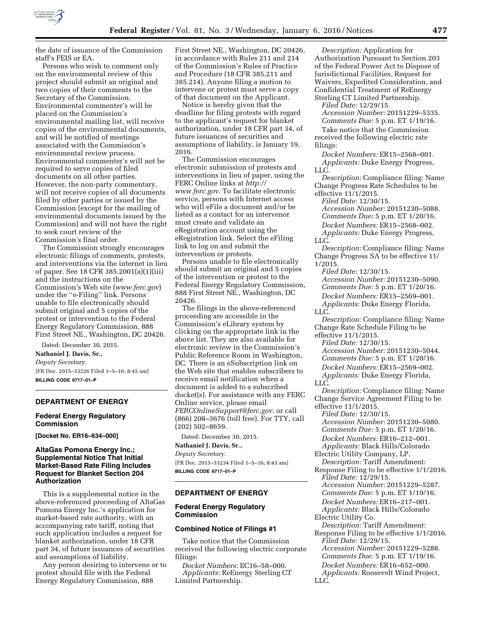

the date of issuance of the Commission staff's FEIS or EA.

Persons who wish to comment only on the environmental review of this project should submit an original and two copies of their comments to the Secretary of the Commission. Environmental commenter's will be placed on the Commission's environmental mailing list, will receive copies of the environmental documents, and will be notified of meetings associated with the Commission's environmental review process. Environmental commenter's will not be required to serve copies of filed documents on all other parties. However, the non-party commentary, will not receive copies of all documents filed by other parties or issued by the Commission (except for the mailing of environmental documents issued by the Commission) and will not have the right to seek court review of the Commission's final order.

The Commission strongly encourages electronic filings of comments, protests, and interventions via the internet in lieu of paper. See 18 CFR 385.2001(a)(1)(iii) and the instructions on the Commission's Web site (*[www.ferc.gov](http://www.ferc.gov)*) under the ''e-Filing'' link. Persons unable to file electronically should submit original and 5 copies of the protest or intervention to the Federal Energy Regulatory Commission, 888 First Street NE., Washington, DC 20426.

Dated: December 30, 2015.

**Nathaniel J. Davis, Sr.,** 

*Deputy Secretary.* 

[FR Doc. 2015–33226 Filed 1–5–16; 8:45 am] **BILLING CODE 6717–01–P** 

## **DEPARTMENT OF ENERGY**

### **Federal Energy Regulatory Commission**

**[Docket No. ER16–634–000]** 

## **AltaGas Pomona Energy Inc.; Supplemental Notice That Initial Market-Based Rate Filing Includes Request for Blanket Section 204 Authorization**

This is a supplemental notice in the above-referenced proceeding of AltaGas Pomona Energy Inc.'s application for market-based rate authority, with an accompanying rate tariff, noting that such application includes a request for blanket authorization, under 18 CFR part 34, of future issuances of securities and assumptions of liability.

Any person desiring to intervene or to protest should file with the Federal Energy Regulatory Commission, 888

First Street NE., Washington, DC 20426, in accordance with Rules 211 and 214 of the Commission's Rules of Practice and Procedure (18 CFR 385.211 and 385.214). Anyone filing a motion to intervene or protest must serve a copy of that document on the Applicant.

Notice is hereby given that the deadline for filing protests with regard to the applicant's request for blanket authorization, under 18 CFR part 34, of future issuances of securities and assumptions of liability, is January 19, 2016.

The Commission encourages electronic submission of protests and interventions in lieu of paper, using the FERC Online links at *[http://](http://www.ferc.gov)  [www.ferc.gov](http://www.ferc.gov)*. To facilitate electronic service, persons with Internet access who will eFile a document and/or be listed as a contact for an intervenor must create and validate an eRegistration account using the eRegistration link. Select the eFiling link to log on and submit the intervention or protests.

Persons unable to file electronically should submit an original and 5 copies of the intervention or protest to the Federal Energy Regulatory Commission, 888 First Street NE., Washington, DC 20426.

The filings in the above-referenced proceeding are accessible in the Commission's eLibrary system by clicking on the appropriate link in the above list. They are also available for electronic review in the Commission's Public Reference Room in Washington, DC. There is an eSubscription link on the Web site that enables subscribers to receive email notification when a document is added to a subscribed docket(s). For assistance with any FERC Online service, please email *[FERCOnlineSupport@ferc.gov](mailto:FERCOnlineSupport@ferc.gov)*. or call (866) 208–3676 (toll free). For TTY, call (202) 502–8659.

Dated: December 30, 2015.

### **Nathaniel J. Davis, Sr.,**  *Deputy Secretary.*

[FR Doc. 2015–33234 Filed 1–5–16; 8:45 am] **BILLING CODE 6717–01–P** 

#### **DEPARTMENT OF ENERGY**

# **Federal Energy Regulatory Commission**

## **Combined Notice of Filings #1**

Take notice that the Commission received the following electric corporate filings:

*Docket Numbers:* EC16–58–000. *Applicants:* ReEnergy Sterling CT Limited Partnership.

*Description:* Application for Authorization Pursuant to Section 203 of the Federal Power Act to Dispose of Jurisdictional Facilities, Request for Waivers, Expedited Consideration, and Confidential Treatment of ReEnergy Sterling CT Limited Partnership.

*Filed Date:* 12/29/15.

*Accession Number:* 20151229–5335. *Comments Due:* 5 p.m. ET 1/19/16.

Take notice that the Commission received the following electric rate filings:

*Docket Numbers:* ER15–2568–001. *Applicants:* Duke Energy Progress, LLC.

*Description:* Compliance filing: Name Change Progress Rate Schedules to be effective 11/1/2015.

*Filed Date:* 12/30/15.

*Accession Number:* 20151230–5088. *Comments Due:* 5 p.m. ET 1/20/16.

*Docket Numbers:* ER15–2568–002. *Applicants:* Duke Energy Progress,

LLC.

*Description:* Compliance filing: Name Change Progress SA to be effective 11/ 1/2015.

*Filed Date:* 12/30/15. *Accession Number:* 20151230–5090. *Comments Due:* 5 p.m. ET 1/20/16. *Docket Numbers:* ER15–2569–001.

*Applicants:* Duke Energy Florida, LLC.

*Description:* Compliance filing: Name Change Rate Schedule Filing to be

effective 11/1/2015. *Filed Date:* 12/30/15.

*Accession Number:* 20151230–5044. *Comments Due:* 5 p.m. ET 1/20/16. *Docket Numbers:* ER15–2569–002. *Applicants:* Duke Energy Florida, LLC.

*Description:* Compliance filing: Name Change Service Agreement Filing to be effective 11/1/2015.

*Filed Date:* 12/30/15. *Accession Number:* 20151230–5080. *Comments Due:* 5 p.m. ET 1/20/16. *Docket Numbers:* ER16–212–001. *Applicants:* Black Hills/Colorado Electric Utility Company, LP.

*Description:* Tariff Amendment: Response Filing to be effective 1/1/2016. *Filed Date:* 12/29/15. *Accession Number:* 20151229–5287. *Comments Due:* 5 p.m. ET 1/19/16. *Docket Numbers:* ER16–217–001. *Applicants:* Black Hills/Colorado Electric Utility Co. *Description:* Tariff Amendment:

Response Filing to be effective 1/1/2016. *Filed Date:* 12/29/15. *Accession Number:* 20151229–5288.

*Comments Due:* 5 p.m. ET 1/19/16.

*Docket Numbers:* ER16–652–000. *Applicants:* Roosevelt Wind Project,

LLC.